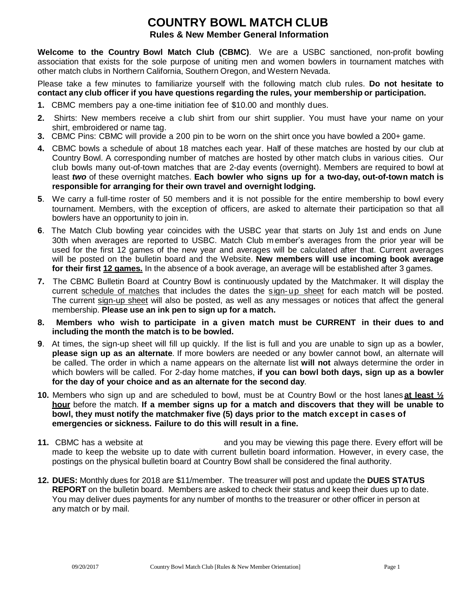# **COUNTRY BOWL MATCH CLUB Rules & New Member General Information**

**Welcome to the Country Bowl Match Club (CBMC)**. We are a USBC sanctioned, non-profit bowling association that exists for the sole purpose of uniting men and women bowlers in tournament matches with other match clubs in Northern California, Southern Oregon, and Western Nevada.

Please take a few minutes to familiarize yourself with the following match club rules. **Do not hesitate to contact any club officer if you have questions regarding the rules, your membership or participation.**

- **1.** CBMC members pay a one-time initiation fee of \$10.00 and monthly dues.
- **2.** Shirts: New members receive a club shirt from our shirt supplier. You must have your name on your shirt, embroidered or name tag.
- **3.** CBMC Pins: CBMC will provide a 200 pin to be worn on the shirt once you have bowled a 200+ game.
- **4.** CBMC bowls a schedule of about 18 matches each year. Half of these matches are hosted by our club at Country Bowl. A corresponding number of matches are hosted by other match clubs in various cities. Our club bowls many out-of-town matches that are 2-day events (overnight). Members are required to bowl at least *two* of these overnight matches. **Each bowler who signs up for a two-day, out-of-town match is responsible for arranging for their own travel and overnight lodging.**
- **5**. We carry a full-time roster of 50 members and it is not possible for the entire membership to bowl every tournament. Members, with the exception of officers, are asked to alternate their participation so that all bowlers have an opportunity to join in.
- **6**. The Match Club bowling year coincides with the USBC year that starts on July 1st and ends on June 30th when averages are reported to USBC. Match Club m ember's averages from the prior year will be used for the first 12 games of the new year and averages will be calculated after that. Current averages will be posted on the bulletin board and the Website. **New members will use incoming book average for their first 12 games.** In the absence of a book average, an average will be established after 3 games.
- **7.** The CBMC Bulletin Board at Country Bowl is continuously updated by the Matchmaker. It will display the current schedule of matches that includes the dates the sign-up sheet for each match will be posted. The current sign-up sheet will also be posted, as well as any messages or notices that affect the general membership. **Please use an ink pen to sign up for a match.**
- **8. Members who wish to participate in a given match must be CURRENT in their dues to and including the month the match is to be bowled.**
- **9**. At times, the sign-up sheet will fill up quickly. If the list is full and you are unable to sign up as a bowler, **please sign up as an alternate**. If more bowlers are needed or any bowler cannot bowl, an alternate will be called. The order in which a name appears on the alternate list **will not** always determine the order in which bowlers will be called. For 2-day home matches, **if you can bowl both days, sign up as a bowler for the day of your choice and as an alternate for the second day**.
- **10.** Members who sign up and are scheduled to bowl, must be at Country Bowl or the host lanes **at least ½ hour** before the match. **If a member signs up for a match and discovers that they will be unable to bowl, they must notify the matchmaker five (5) days prior to the match except in cases of emergencies or sickness. Failure to do this will result in a fine.**
- **11.** CBMC has a website at and you may be viewing this page there. Every effort will be made to keep the website up to date with current bulletin board information. However, in every case, the postings on the physical bulletin board at Country Bowl shall be considered the final authority.
- **12. DUES:** Monthly dues for 2018 are \$11/member. The treasurer will post and update the **DUES STATUS REPORT** on the bulletin board. Members are asked to check their status and keep their dues up to date. You may deliver dues payments for any number of months to the treasurer or other officer in person at any match or by mail.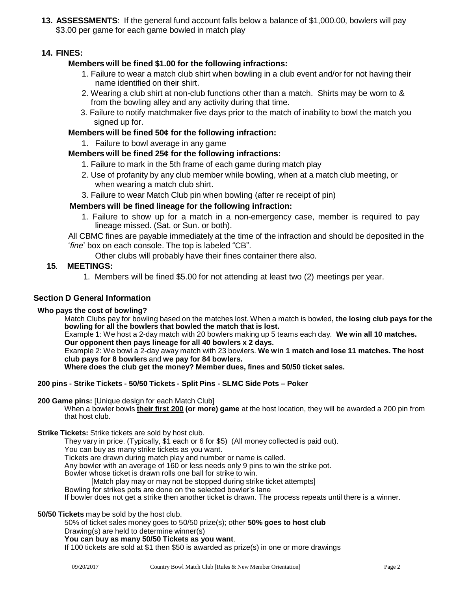**13. ASSESSMENTS**: If the general fund account falls below a balance of \$1,000.00, bowlers will pay \$3.00 per game for each game bowled in match play

# **14. FINES:**

# **Members will be fined \$1.00 for the following infractions:**

- 1. Failure to wear a match club shirt when bowling in a club event and/or for not having their name identified on their shirt.
- 2. Wearing a club shirt at non-club functions other than a match. Shirts may be worn to & from the bowling alley and any activity during that time.
- 3. Failure to notify matchmaker five days prior to the match of inability to bowl the match you signed up for.

## **Members will be fined 50¢ for the following infraction:**

1. Failure to bowl average in any game

## **Members will be fined 25¢ for the following infractions:**

- 1. Failure to mark in the 5th frame of each game during match play
- 2. Use of profanity by any club member while bowling, when at a match club meeting, or when wearing a match club shirt.
- 3. Failure to wear Match Club pin when bowling (after re receipt of pin)

## **Members will be fined lineage for the following infraction:**

1. Failure to show up for a match in a non-emergency case, member is required to pay lineage missed. (Sat. or Sun. or both).

All CBMC fines are payable immediately at the time of the infraction and should be deposited in the '*fine*' box on each console. The top is labeled "CB".

Other clubs will probably have their fines container there also.

### **15**. **MEETINGS:**

1. Members will be fined \$5.00 for not attending at least two (2) meetings per year.

### **Section D General Information**

### **Who pays the cost of bowling?**

Match Clubs pay for bowling based on the matches lost. When a match is bowled**, the losing club pays for the bowling for all the bowlers that bowled the match that is lost.**

Example 1: We host a 2-day match with 20 bowlers making up 5 teams each day. **We win all 10 matches.**

**Our opponent then pays lineage for all 40 bowlers x 2 days.** Example 2: We bowl a 2-day away match with 23 bowlers. **We win 1 match and lose 11 matches. The host** 

**club pays for 8 bowlers** and **we pay for 84 bowlers.**

**Where does the club get the money? Member dues, fines and 50/50 ticket sales.**

### **200 pins - Strike Tickets - 50/50 Tickets - Split Pins - SLMC Side Pots – Poker**

**200 Game pins:** [Unique design for each Match Club]

When a bowler bowls **their first 200 (or more) game** at the host location, they will be awarded a 200 pin from that host club.

**Strike Tickets:** Strike tickets are sold by host club.

They vary in price. (Typically, \$1 each or 6 for \$5) (All money collected is paid out).

You can buy as many strike tickets as you want.

Tickets are drawn during match play and number or name is called.

Any bowler with an average of 160 or less needs only 9 pins to win the strike pot.

Bowler whose ticket is drawn rolls one ball for strike to win.

[Match play may or may not be stopped during strike ticket attempts]

Bowling for strikes pots are done on the selected bowler's lane

If bowler does not get a strike then another ticket is drawn. The process repeats until there is a winner.

**50/50 Tickets** may be sold by the host club.

50% of ticket sales money goes to 50/50 prize(s); other **50% goes to host club** Drawing(s) are held to determine winner(s)

#### **You can buy as many 50/50 Tickets as you want**.

If 100 tickets are sold at \$1 then \$50 is awarded as prize(s) in one or more drawings